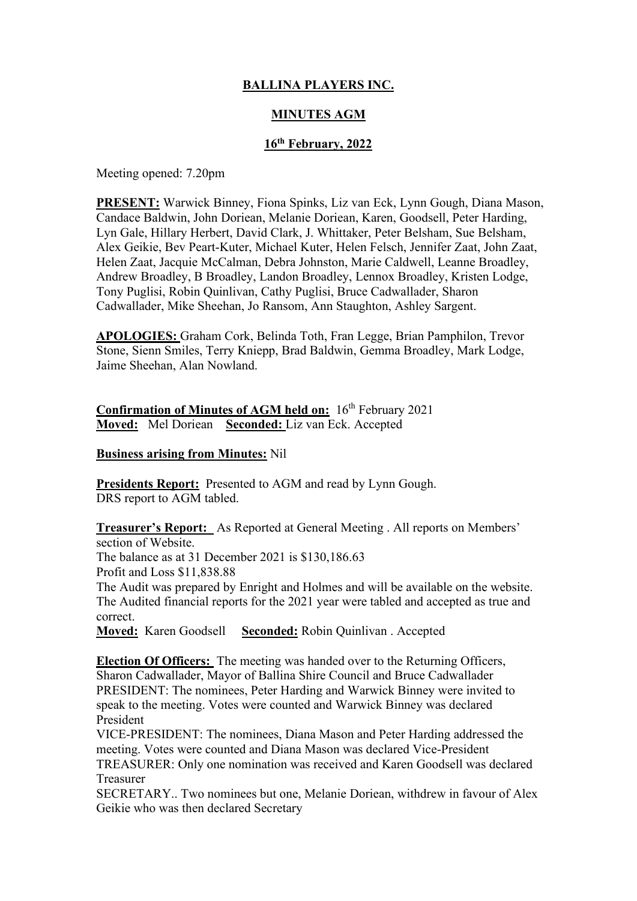## **BALLINA PLAYERS INC.**

## **MINUTES AGM**

## **16th February, 2022**

Meeting opened: 7.20pm

**PRESENT:** Warwick Binney, Fiona Spinks, Liz van Eck, Lynn Gough, Diana Mason, Candace Baldwin, John Doriean, Melanie Doriean, Karen, Goodsell, Peter Harding, Lyn Gale, Hillary Herbert, David Clark, J. Whittaker, Peter Belsham, Sue Belsham, Alex Geikie, Bev Peart-Kuter, Michael Kuter, Helen Felsch, Jennifer Zaat, John Zaat, Helen Zaat, Jacquie McCalman, Debra Johnston, Marie Caldwell, Leanne Broadley, Andrew Broadley, B Broadley, Landon Broadley, Lennox Broadley, Kristen Lodge, Tony Puglisi, Robin Quinlivan, Cathy Puglisi, Bruce Cadwallader, Sharon Cadwallader, Mike Sheehan, Jo Ransom, Ann Staughton, Ashley Sargent.

**APOLOGIES:** Graham Cork, Belinda Toth, Fran Legge, Brian Pamphilon, Trevor Stone, Sienn Smiles, Terry Kniepp, Brad Baldwin, Gemma Broadley, Mark Lodge, Jaime Sheehan, Alan Nowland.

**Confirmation of Minutes of AGM held on:** 16<sup>th</sup> February 2021 **Moved:** Mel Doriean **Seconded:** Liz van Eck. Accepted

**Business arising from Minutes:** Nil

**Presidents Report:** Presented to AGM and read by Lynn Gough. DRS report to AGM tabled.

**Treasurer's Report:** As Reported at General Meeting . All reports on Members' section of Website. The balance as at 31 December 2021 is \$130,186.63 Profit and Loss \$11,838.88 The Audit was prepared by Enright and Holmes and will be available on the website. The Audited financial reports for the 2021 year were tabled and accepted as true and correct. **Moved:** Karen Goodsell **Seconded:** Robin Quinlivan . Accepted

**Election Of Officers:** The meeting was handed over to the Returning Officers, Sharon Cadwallader, Mayor of Ballina Shire Council and Bruce Cadwallader PRESIDENT: The nominees, Peter Harding and Warwick Binney were invited to speak to the meeting. Votes were counted and Warwick Binney was declared President

VICE-PRESIDENT: The nominees, Diana Mason and Peter Harding addressed the meeting. Votes were counted and Diana Mason was declared Vice-President TREASURER: Only one nomination was received and Karen Goodsell was declared Treasurer

SECRETARY.. Two nominees but one, Melanie Doriean, withdrew in favour of Alex Geikie who was then declared Secretary